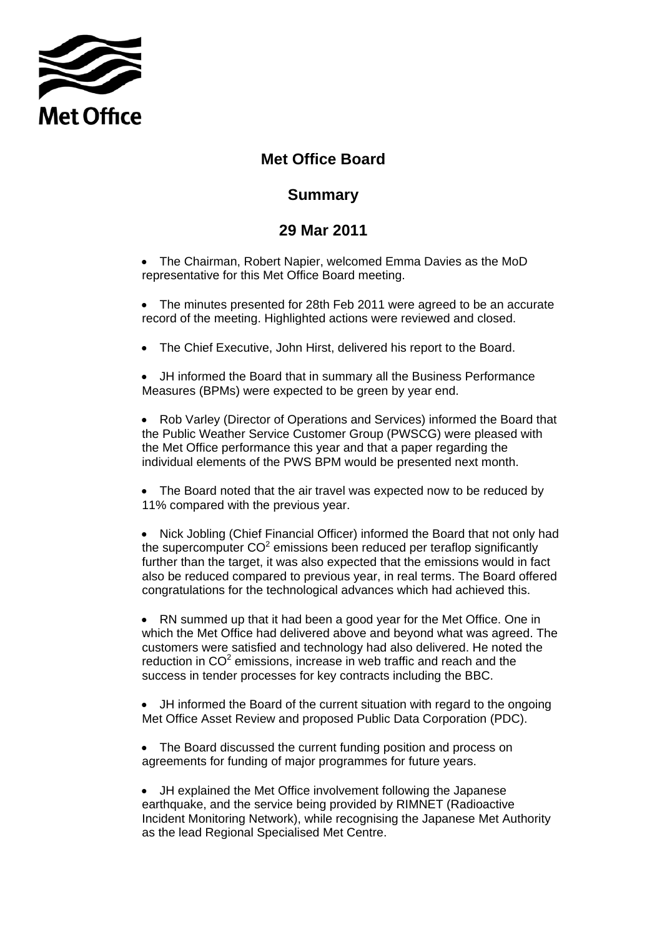

## **Met Office Board**

## **Summary**

## **Summary 29 Mar 2011**

- The Chairman, Robert Napier, welcomed Emma Davies as the MoD representative for this Met Office Board meeting.
- The minutes presented for 28th Feb 2011 were agreed to be an accurate record of the meeting. Highlighted actions were reviewed and closed.
- The Chief Executive, John Hirst, delivered his report to the Board.

• JH informed the Board that in summary all the Business Performance Measures (BPMs) were expected to be green by year end.

• Rob Varley (Director of Operations and Services) informed the Board that the Public Weather Service Customer Group (PWSCG) were pleased with the Met Office performance this year and that a paper regarding the individual elements of the PWS BPM would be presented next month.

• The Board noted that the air travel was expected now to be reduced by 11% compared with the previous year.

• Nick Jobling (Chief Financial Officer) informed the Board that not only had the supercomputer  $CO<sup>2</sup>$  emissions been reduced per teraflop significantly further than the target, it was also expected that the emissions would in fact also be reduced compared to previous year, in real terms. The Board offered congratulations for the technological advances which had achieved this.

• RN summed up that it had been a good year for the Met Office. One in which the Met Office had delivered above and beyond what was agreed. The customers were satisfied and technology had also delivered. He noted the reduction in  $CO<sup>2</sup>$  emissions, increase in web traffic and reach and the success in tender processes for key contracts including the BBC.

• JH informed the Board of the current situation with regard to the ongoing Met Office Asset Review and proposed Public Data Corporation (PDC).

- The Board discussed the current funding position and process on agreements for funding of major programmes for future years.
- JH explained the Met Office involvement following the Japanese earthquake, and the service being provided by RIMNET (Radioactive Incident Monitoring Network), while recognising the Japanese Met Authority as the lead Regional Specialised Met Centre.